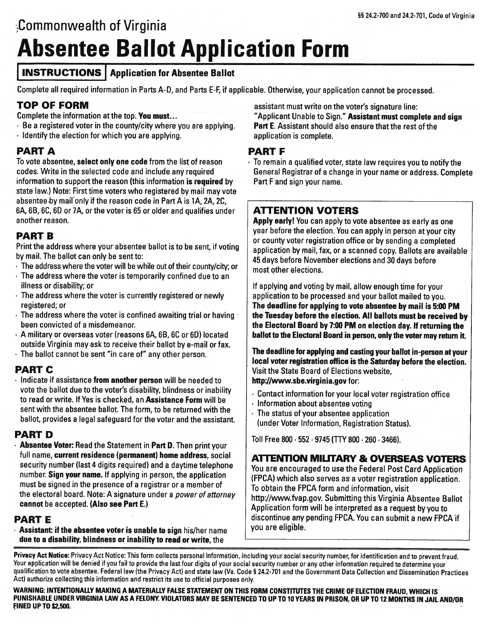# CommonweaIth of Virginia Absentee Ballot Application Form

## **INSTRUCTIONS** Application for Absentee Ballot

Complete all required information in Parts A-D, and Parts E-F, if applicable. Otherwise, your application cannot be processed.

## TOP OF FORM

Complete the information at the top. You must...

- Be a registered voter in the county/city where you are applying.
- $\cdot$  Identify the election for which you are applying.

#### PART A

To vote absentee, select only one code from the list of reason codes. Write in the selected code and include any required information to support the reason (this information is required by state law.) Note: First time voters who registered by mail may vote absentee by mail only if the reason code in Part A is 1A, 2A, 2C, 6A, 6B, 6C, 60 or 7A, or the voter is 65 or older and qualifies under another reason.

#### PART B

Print the address where your absentee ballot is to be sent, if voting by mail. The ballot can only be sent to:

- The address where the voter will be while out of their county/city; or
- The address where the voter is temporarily confined due to an illness or disability; or
- The address where the voter is currently registered or newly registered; or
- The address where the voter is confined awaiting trial or having been convicted of a misdemeanor.
- A military or overseas voter (reasons 6A, 6B, 6C or 60) located outside Virginia may ask to receive their ballot by e-mail or fax.
- The ballot cannot be sent "in care of" any other person.

## PART C

 $\cdot$  Indicate if assistance from another person will be needed to vote the ballot due to the voter's disability, blindness or inability to read or write, If Yes is checked, an Assistance Form will be sent with the absentee ballot. The form, to be returned with the ballot, provides a legal safeguard for the voter and the assistant.

## PART D

• Absentee Voter: Read the Statement in Part D. Then print your full name, current residence (permanent) home address, social security number (last 4 digits required) and a daytime telephone number. Sign your name. If applying in person, the application must be signed in the presence of a registrar or a member of the electoral board. Note: A signature under a power of attorney cannot be accepted. (Also see Part E.)

## PART E

Assistant: if the absentee voter is unable to sign his/her name due to a disability, blindness or inability to read or write, the

assistant must write on the voter's signature line: "Applicant Unable to Sign." Assistant must complete and sign Part E. Assistant should also ensure that the rest of the application is complete.

#### PART F

 $\cdot$  To remain a qualified voter, state law requires you to notify the General Registrar of a change in your name or address. Complete Part <sup>F</sup> and sign your name.

# ATTENTION VOTERS

Apply early! You can apply to vote absentee as early as one year before the election. You can apply in person at your city or county voter registration office or by sending a completed application by mail, fax, or a scanned copy. Ballots are available 45 days before November elections and 30 days before most other elections.

If applying and voting by mail, allow enough time for your application to be processed and your ballot mailed to you. The deadline for applying to vote absentee by mail is 5:00 PM the Tuesday before the election. All ballots must be received by the Electoral Board by 7:00 PM on election day. If returning the ballot to the Electoral Board in person, only the voter may return it.

The deadline for applying and casting your ballot in-person at your local voter registration office is the Saturday before the election. Visit the State Board of Elections website, http://www.sbe.virginia.gov for:

- Contact information for your local voter registration office  $\cdot$  Information about absentee voting
- The status of your absentee application
	- (under Voter Information, Registration Status).

Toll Free 800 . 552 . 9745 (TfY 800. 260 . 3466).

#### ATEN11ON MILITARY & OVERSEAS VOTERS

You are encouraged to use the Federal Post Card Application (FPCA) which also serves as a voter registration application. To obtain the FPCA form and information, visit http://www.fvap.gov. Submitting this Virginia Absentee Ballot Application form will be interpreted as <sup>a</sup> request by you to discontinue any pending FPCA. You can submit a new FPCA if you are eligible.

Privacy Act Notice: Privacy Act Notice: This form collects personal information, including your social security number, for identification and to prevent fraud.<br>Your application will be denied if you fail to provide the la qualification to vote absentee. Federal law (the Privacy Act) and state law (Va. Code § 24.2-701 and the Government Data Collection and Dissemination Practices Act) authorize collecting this information and restrict its use to official purposes only.

WARNING: INTENTIONALLY MAKING A MATERIALLY FALSE STATEMENT ON THIS FORM CONSTITUTES THE CRIME OF ELECTION FRAUD, WHICH IS PUNISHABLE UNDER VIRGINIA LAW AS A FELONY. VIOLATORS MAY BE SENTENCED TO UP TO 10 YEARS IN PRISON, OR UP TO 12 MONTHS IN JAIL AND/OR FINED UP TO \$2,500.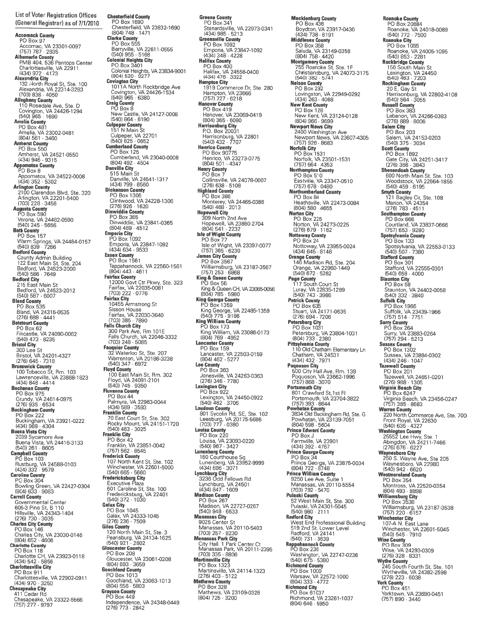List of Voter Registration Offices (General Registrar) as of 7/1/2010

**Accomack County**<br>
PO Box 97<br>
CCORS (VA 23301-0097<br>
(757) 787 · 2935<br> **Albernale County**<br>
PMB 404, 536 Pantops Center<br>
Charlottesville, VA 22911<br>
(434) 972 · 4173<br> **Alexandria City**<br>
132 · North Royal St, Ste. 100<br>
Alexand Amelia County<br>PO Box 481 Amelia, VA 23002-0481 (804) 561 - 3460<br> **Amherst County**<br>
PO Box 550<br>
(434) 946 - 9315<br>
(434) 946 - 9315<br> **Appomatox County**<br>
PO Box 8 Appomatox, VA 24522-0008 (434) 352 . 5302 **Arlington County**<br>2100 Clarendon Blvd, Ste. 320<br>2010 Clarendon, VA 22201-5400<br>(703) 228 · 3456<br>**Augusta County**<br>PO Box 590<br>Verona, VA 244482-0590<br>(540) 245 · 5656 **Bath County**<br>
PO Box 157<br>
V/arm Springs, VA 24484-0157<br>
(540) 839 - 7266<br> **Bedford County**<br>
County Admin Building<br>
122 East Main St, Ste. 204<br>
Bedford, VA 24523-2000<br> **Bedford City<br>
215 East Main St<br>
Bedford, VA 24523-201** PO Box 535<br>Bland, VA 24315-0535<br>(276) 688 - 4441<br>Botetourt County P0 Box 62 Fincastle, VA 24090-0062 (540) 473 . 8235 **Bristol City**<br>300 Lee St<br>Bristol, VA 24201-4327<br>(276) 645 · 7318 **Brunswick County**<br>- 100 Tobacco St, Rm. 103<br>- Lawrenceville, VA 23868-1823 (434) 848 . 4414 Buchanan County PG Box 975 Grundy, VA 24614-0975 (2761 935 . 534 Buckingham County P0 Box <sup>222</sup> Buckingham, VA 23921-0222 (434) 969 . 4304 Buena Vista City <sup>2039</sup> Sycamore Ave Buena Vsta, VA 24416-3133 (540) 261 . 8605 Campbell County<br>PO Box 103<br>Rustburg, VA 24588-0103<br>(434) 332 . 9579<br>Caroline County P0 Box 304 Bowling Greer., VA 22427-0304 (804) 633 9083 Carroll County<br>
Governmental Center<br>
605-3 Pine St, B 110<br>
Hillsville, VA 24343-1404<br>
(276) 730 · 3035<br>
Charles City County<br>
PO Box 146<br>
Charles City, VA 23030-0146<br>
Charles City, VA 23030-0146<br>
(804) 652 · 4606 Charlotte County PO Box 118<br>Charlotte CH, VA 23923-0118<br>(434) 542 · 5856<br>**Charlottesville City** P0 Box 911

Charlottesville, VA 22902-0911 (4341 970 . 3250 Chesapeake City 411 Cedar Rd Chesapeake, VA 23322-5566 (757) 277 . 9797

Chesterfield County PO Box 1690<br>Chesterfield, VA 23832-1690<br>(804) 748 · 1471 Clarke County P0 Box <sup>555</sup> Berryville, VA 22611-0555<br>(540) 955 · 5168<br>**Colonial Heights City**<br>PO Box 3401 Colonial Heights, VA 23834-9001<br>|804} 520 · 9277<br>**Covington City**<br>|1011A North Rockbridge Ave<br>|Covington, VA 24426-1534<br>|540) 965 · 6380 Craig County P0 Box 8 New Castle, VA 24127-0008 1540) 864 .6190 Culpeper County<br>
151 N Main St<br>
Culpeper, VA 2270<br>
(540) 825 · 0652<br>Cumberland County<br>
PO Box 125 Cumberland, VA 23040-0008<br>(804) 492 - 4504 (804) 492 · 4504<br> **Danville City**<br>
515 Main St<br>
Danville, VA 24541-1317<br>
(434) 799 · 6560<br> **Dickenson County**<br>
PO Box 1306<br>
Clintwood, VA 24228-1306<br>
Clintwood, VA 24228-1306<br>
(276) 926 · 1620 **Dinwiddie County<br>PO Box 365<br>Dinwiddie, VA 23841-0365<br>(804) 469 · 4512 Emporia City**<br>PO Box 1092 Emporia, VA 23847-1092<br>|434) 634 · 9533 **Essex County<br>PO Box 1561** Tappahannock, VA 22560-1561<br>(804) 443 · 4611 (804) 443 · 4611<br>
Fairfax County<br>
Fairfax, VA 22035-0081<br>
703) 222 · 0776<br>
Fairfax, VA 22035-0081<br>
7033 222 · 0776<br>
Fairfax City<br>
10455 Armstrong St<br>
Fairfax, VA 22030-3640<br>
703) 385 · 7890<br>
Falls Church City<br>
300 Park Ave Fluvanna County P0 Box <sup>44</sup> Palmyra, VA 22963-0044<br>|4341 589 . 3593<br>**Franklin County**<br>70 East Court St, Ste. 302<br>Rocky Mount, VA 24151-1720<br>|540) 483 · 3025 Franklin City P0 Box 42 Franklin, VA 23851-0042<br>
(757) 562 · 8545<br> **Frederick County**<br>
107 North Kent St, Ste. 102<br>
Winchester, VA 22601-5000<br>
(540) 665 · 5660 **Fredericksburg City**<br>Executive Plaza 601 Caroline St, Ste. 100<br>Fredericksburg, VA 2240<br>(540) 372 · 1030<br>**Galax City**<br>PO Box 1045<br>Galax, VA 24333-1045<br>Galax, VA 24333-1045<br>(276) 236 · 7509 **Giles County**<br>120 North Main St, Ste. 3<br>Pearisburg, VA 24134-1625<br>(540) 921 · 2802<br>**Gloucester County** P0 Box 208 Gloucestet VA 23061-0208 (804) 693 . 3659 Goochland County PD Box 1013 Goochiand, VA 23063-1013 1804) 556 5803 Grayaon County P0 Box 449

Independence, VA 24348-0449 (276) 773 . 2842

Greene County P0 Box <sup>341</sup> Stanardsviile, VA 22973-0341 1434) 985 . 5213 Greensville County Emporia, VA 23847-1092 1434) 348 . 4228 Halifax County PC Box 400 Halifax, VA 24558-0400 (434) 476 . 3322 Hampton City<br>1919 Commerce Dr. Ste. 280 Hampton, VA 23666 i757) 727 . 6218 Hanover County<br>
PO Box 419<br>
Hanover, VA 23069-0419<br>
(804) 365 - 6080<br>Harrisonburg City<br>
P.O. Box 20031 Harrisonburg, VA 22801<br>
1540) 432 - 7707<br> **Henrico County**<br>
PO Box 90775<br>
Henrico, VA 23273-0775<br>
Henry County<br>
PO Box 7<br>
Collinsville, VA 24078-0007<br>
Collinsville, VA 24078-0007<br>
COllinsville, SB 38 - 5108 Highland County P0 Box <sup>386</sup> Monterey, VA 24465-0386<br>
(540) 468 · 2013<br>**Hopewell City<br>
309 North 2nd Ave<br>
Hopewell, VA 23860-2704<br>
(804) 541 · 2232<br>
Isle of Wight County<br>
Po Box 77** Isle of Wight, VA 23397-0077<br>(757) 365 · 6230<br>**James City County**<br>PO Box 3567 Williamsburg, VA 23187-3567<br>(757) 253 · 6868<br>**King & Queen County**<br>PO Box 56 King & Queen CH, VA 23085-0056<br>(804) 785 · 5980<br>**King George County**<br>PO Box 1359 King George, VA 22485-1359<br>(540) 775 · 9186<br>**King William County**<br>PO Box 173<br>King William, VA 23086-0173<br>(804) 769 · 4952 **Lancaster County**<br>
PC Box 159<br>
Lancaster, VA 22503-0159<br>
(804) 462 · 5277<br> **Lee County**<br>
PC Box 363<br>
Jonesville, VA 24263-0363<br>
(276) 346 · 7780 Lexington City<br>PO Box 922 Lexington, VA 24450-0922<br>(540) 462 - 3706<br>**Loudoun County**<br>801 Sycolin Rd, SE, Ste. 102<br>Leesburg, VA 20175-5686<br>(703) 777 - 0380 Louisa County<br>
PO Box 220<br>
Louisa, VA 23093-0220<br>
(540) 967 · 3427<br>
Lunenberg, VA 23952-9999<br>
Lunenberg, VA 23952-9999<br>
(434) 696 · 3071<br>
Lynchburg, VA 23952-9999<br>
Lynchburg, VA 24551<br>
Lynchburg, VA 24501<br>
(3236 Odd Fellow Madison County<br>PO Box 267 Madison, VA 22727-0267<br>(540) 948 · 6533<br>**Manassas City** 9025 Center St<br>
Manassas, VA 20110-5403<br>
Manassas Park City<br>
City Hall. 1 Park Center Ct<br>
City Hall. 1 Park Center Ct<br>
Manassas Park, VA 20111-2395<br>
(703) 335 · 8806<br>
Martinsville City<br>
Martinsville City P0 Box 1323 Martinsville. VA 24114-1323 (276)403 5122 Mathews County P0 Box <sup>328</sup> Mathews, VA 23109-0328 1804) 725. 3200

Mecklenburg County P0 Box <sup>436</sup> Boydton, VA 23917-0436<br>(434) 738 · 6191<br>**Middlesex County** PO Box 358<br>
Saluda, VA 23149-0358<br>
(804) 758 · 4420<br> **Montgomery County**<br>
755 Roanoke St, Ste. 1F<br>
Christiansburg, VA 24073-3175<br>
(540) 382 · 5741 Nelson County P0 Box 292 Lovingston, VA 22949-0292 (434) 263 . 4068 New Kent County P0 Box 128 New Kent, VA 23124-0128<br>
(804) 966 · 9699<br>
Newport News City<br>
2400 Washington Ave<br>
Newport News, VA 23607-4305<br>
Norfolk City<br>
PO Box 1531<br>
Norfolk, VA 23501-1531<br>
Norfolk, VA 23501-1531<br>
(757) 664 · 4353 Northampton County<br>
PO Box 510<br>Eastville, VA 23347-0510<br>
(757) 678 · 0480<br>
Northumberland County<br>
PO Box 84<br>
Heathsville, VA 22473-0084<br>
Heathsville, VA 22473-0084<br>(804) 580 · 4655 Norton City<br>PO Box 225<br>Norton, VA 24273-0225<br>(276) 679 · 1162<br>Nattaway County<br>PO Box 24 Nottoway, VA 23955-0024 (434) 645. 8148 **Orange County<br>146 Madison Rd, Ste. 204** Orange. VA 22960-1449 (5401 672 . 5262 **Page County**<br>
117 South Court St<br>
Luray, VA 22835-1289<br>
(540) 743 · 3986<br> **Patrick County**<br>
PO Box 635<br>
Stuart, VA 24171-0635<br>
Stuart, VA 24171-0635<br>
(276) 694 · 7206 Petersburg City<br>PO Box 1031 Petersburg, VA 23804-1031<br>(804) 733 · 2380 Pittsylvania County<br>
110 Old Chatham Elementary Ln<br>
Chatham, VA 24531<br>
(434) 432 · 7971<br>Poquoson City<br>
500 City Hall Ave, Rm. 139<br>
Poquoson, VA 23662-1996<br>
(757) 868 · 3070 Portsmouth City<br>
801 Crawford St, 1st Fl<br>
Portsmouth, VA 23704-3822<br>
(757) 393 · 8644<br>
Powhatan County<br>
3834 Old Buckingham Rd, Ste. G<br>
804 598 · 5604<br>
Prince Edward County<br>
PD Box J Farmville, VA 2390´<br>(434) 392 · 4767 Prince George County PC Box <sup>34</sup> Prince George, VA 23875-0034 1804) 722 . 8748 Prince William County 9250 Lee Aye, Suite 1 Manassas, VA 20110-5554 1703) 792 . 6470 Pulaski County 52 West Main St. Ste. 300 Pulaski, VA 24301-5045 15401 980 .2111 Radford City West End Professional Building 519 2nd St. Lower Level<br>Radford, VA 24141<br>(540) 731 · 3639<br>Rappahannock County<br>PO Box 236 Washington, VA 22747-0236 (540) 675 . 5380 Richmond County P0 Box <sup>1000</sup> Warsaw, VA 22572-1000<br>(804) 333 · 4772<br>**Richmond City**<br>PO Box 61037 Richmond, VA 23261-1 037 (804) 646 . 5950

Roanoke County PD Box 20884 Roanoke, VA 24018-0089<br>**Roanoke City**<br>**Roanoke City**<br>PO Box 1095<br>(540) 853 · 2281<br>**Rockbridge County**<br>150 South Main St<br>Lexington, VA 24450<br>(540) 463 · 7203<br>**Rockingham County**<br>20 E. Gay St Harrisonburg, VA 22802-4108<br>(540) 564 · 3055<br>**Russell County**<br>PO Box 383 Lebanon, VA 24266-0383 (276) 889 . 8006 **Salem City<br>
PO Box 203<br>
Salem, VA 24153-0203<br>
(540) 375 · 3034<br>
Scott County<br>
PO Box 1892** Gate City, VA 24251-3417<br>
276) 386 - 3843<br>
Shenandoah County<br>
600 North Main St, Ste. 103<br>
Woodstock, VA 22664-1855<br>
(540) 459 - 6195<br>
Smyth County<br>
121 Bagley Cir, Ste. 108<br>
121 Bagley Cir, Ste. 108<br>
Marion, VA 24354<br>
(27 Courtland, VA 23837-0666<br>(757) 653 · 9280<br>**Spotsylvania County**<br>PO Box 133 Spotsylvania, VA 22553-0133<br>|540) 507 · 7380<br>**Stafford County**<br>PO Box 301<br>|540) 658 · 4000 **Staunton City**<br>
PO Box 58<br>
Staunton, VA 24402-0058<br>
(540) 332 · 3840<br>
PO Box 1966<br>
PO Box 1966<br>
Suffolk, VA 23439-1966<br>
(757) 514 · 7751 Surry County<br>PO Box 264 Surry, VA 23883-0264<br>(757) 294 · 5213<br>**Sussex County**<br>PO Box 1302<br>Sussex, VA 23884-03 **Westmoreland County** PO Box 354<br>
Montross, VA 22520-0354<br>
(804) 493 · 8898<br>
Williamsburg City<br>
PO Box 3538<br>
Milliams VA 22187 25 PO Box 3538<br>
Villiamsburg, VA 23187-3538<br>
(757) 220 · 6157<br> **Winchester City**<br>
107-A N. East Lane<br>
Vinchester, VA 22601-5045<br>
(540) 545 · 7910<br> **Wise County**<br>
PO Box 309<br>
Vise, VA 24293-0309<br>
(276) 328 · 8331<br> **With County** Wythe County<br>
245 South Fourth St, Ste. 101<br>
Wytheville, VA 24382-2598<br>
(276) 223 · 6038  $V_2$  60 223  $\cdot$  6038<br> **Vork County**<br>
PO Box 451<br>
Yorktown, VA 23690-0451<br>
(757) 890  $\cdot$  3440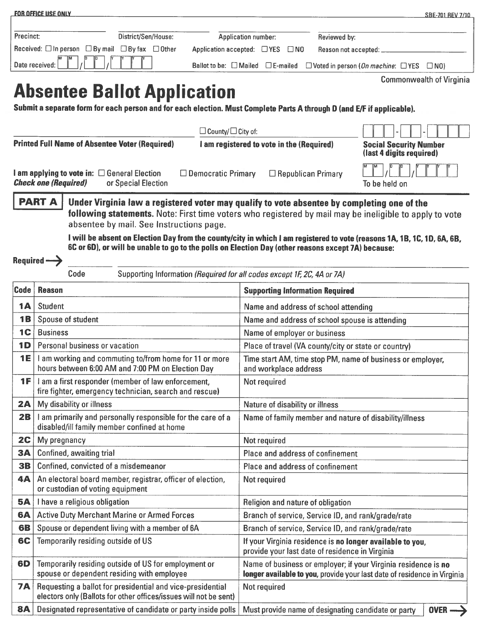|                                                                                         | <b>FOR OFFICE USE ONLY</b>                                                                                                                                                                                                                                                                                                                                                                                                                                                                                          |                                                         |                                                                                                              |                                        |                                                                                                                                            | SBE-701 REV 7/10                |  |
|-----------------------------------------------------------------------------------------|---------------------------------------------------------------------------------------------------------------------------------------------------------------------------------------------------------------------------------------------------------------------------------------------------------------------------------------------------------------------------------------------------------------------------------------------------------------------------------------------------------------------|---------------------------------------------------------|--------------------------------------------------------------------------------------------------------------|----------------------------------------|--------------------------------------------------------------------------------------------------------------------------------------------|---------------------------------|--|
| Precinct:                                                                               | District/Sen/House:<br>Received: $\square$ In person $\square$ By mail<br>$\Box$ By fax $\Box$ Other                                                                                                                                                                                                                                                                                                                                                                                                                | Application number:<br>Application accepted: □ YES □ NO |                                                                                                              | Reviewed by:<br>Reason not accepted: _ |                                                                                                                                            |                                 |  |
|                                                                                         | Date received:                                                                                                                                                                                                                                                                                                                                                                                                                                                                                                      | Ballot to be: □ Mailed □ E-mailed                       |                                                                                                              |                                        | $\Box$ Voted in person (On machine: $\Box$ YES $\Box$ NO)                                                                                  |                                 |  |
|                                                                                         |                                                                                                                                                                                                                                                                                                                                                                                                                                                                                                                     |                                                         |                                                                                                              |                                        |                                                                                                                                            | <b>Commonwealth of Virginia</b> |  |
|                                                                                         | <b>Absentee Ballot Application</b>                                                                                                                                                                                                                                                                                                                                                                                                                                                                                  |                                                         |                                                                                                              |                                        |                                                                                                                                            |                                 |  |
|                                                                                         | Submit a separate form for each person and for each election. Must Complete Parts A through D (and E/F if applicable).                                                                                                                                                                                                                                                                                                                                                                                              |                                                         |                                                                                                              |                                        |                                                                                                                                            |                                 |  |
|                                                                                         |                                                                                                                                                                                                                                                                                                                                                                                                                                                                                                                     |                                                         |                                                                                                              |                                        |                                                                                                                                            |                                 |  |
| $\Box$ County/ $\Box$ City of:<br><b>Printed Full Name of Absentee Voter (Required)</b> |                                                                                                                                                                                                                                                                                                                                                                                                                                                                                                                     |                                                         |                                                                                                              |                                        |                                                                                                                                            |                                 |  |
|                                                                                         |                                                                                                                                                                                                                                                                                                                                                                                                                                                                                                                     |                                                         | I am registered to vote in the (Required)                                                                    |                                        | <b>Social Security Number</b><br>(last 4 digits required)                                                                                  |                                 |  |
|                                                                                         | I am applying to vote in: $\Box$ General Election<br><b>Check one (Required)</b><br>or Special Election                                                                                                                                                                                                                                                                                                                                                                                                             | $\Box$ Democratic Primary                               |                                                                                                              | $\Box$ Republican Primary              | To be held on                                                                                                                              |                                 |  |
|                                                                                         | <b>PART A</b><br>Under Virginia law a registered voter may qualify to vote absentee by completing one of the<br>following statements. Note: First time voters who registered by mail may be ineligible to apply to vote<br>absentee by mail. See Instructions page.<br>I will be absent on Election Day from the county/city in which I am registered to vote (reasons 1A, 1B, 1C, 1D, 6A, 6B,<br>6C or 6D), or will be unable to go to the polls on Election Day (other reasons except 7A) because:<br>Required -> |                                                         |                                                                                                              |                                        |                                                                                                                                            |                                 |  |
|                                                                                         | Code<br>Supporting Information (Required for all codes except 1F, 2C, 4A or 7A)                                                                                                                                                                                                                                                                                                                                                                                                                                     |                                                         |                                                                                                              |                                        |                                                                                                                                            |                                 |  |
| Code                                                                                    | <b>Reason</b>                                                                                                                                                                                                                                                                                                                                                                                                                                                                                                       |                                                         |                                                                                                              | <b>Supporting Information Required</b> |                                                                                                                                            |                                 |  |
| 1A                                                                                      | <b>Student</b>                                                                                                                                                                                                                                                                                                                                                                                                                                                                                                      |                                                         | Name and address of school attending                                                                         |                                        |                                                                                                                                            |                                 |  |
| <b>1B</b>                                                                               | Spouse of student                                                                                                                                                                                                                                                                                                                                                                                                                                                                                                   |                                                         | Name and address of school spouse is attending                                                               |                                        |                                                                                                                                            |                                 |  |
| 1 <sup>C</sup>                                                                          | <b>Business</b>                                                                                                                                                                                                                                                                                                                                                                                                                                                                                                     |                                                         | Name of employer or business                                                                                 |                                        |                                                                                                                                            |                                 |  |
| <b>1D</b>                                                                               | Personal business or vacation                                                                                                                                                                                                                                                                                                                                                                                                                                                                                       |                                                         | Place of travel (VA county/city or state or country)                                                         |                                        |                                                                                                                                            |                                 |  |
| 1E                                                                                      | I am working and commuting to/from home for 11 or more                                                                                                                                                                                                                                                                                                                                                                                                                                                              |                                                         | Time start AM, time stop PM, name of business or employer,                                                   |                                        |                                                                                                                                            |                                 |  |
|                                                                                         | hours between 6:00 AM and 7:00 PM on Election Day                                                                                                                                                                                                                                                                                                                                                                                                                                                                   |                                                         | and workplace address                                                                                        |                                        |                                                                                                                                            |                                 |  |
| 1F                                                                                      | I am a first responder (member of law enforcement,<br>fire fighter, emergency technician, search and rescue)                                                                                                                                                                                                                                                                                                                                                                                                        |                                                         | Not required                                                                                                 |                                        |                                                                                                                                            |                                 |  |
| 2A                                                                                      | My disability or illness                                                                                                                                                                                                                                                                                                                                                                                                                                                                                            |                                                         | Nature of disability or illness                                                                              |                                        |                                                                                                                                            |                                 |  |
| 2B                                                                                      | am primarily and personally responsible for the care of a<br>disabled/ill family member confined at home                                                                                                                                                                                                                                                                                                                                                                                                            |                                                         | Name of family member and nature of disability/illness                                                       |                                        |                                                                                                                                            |                                 |  |
| 2C                                                                                      | My pregnancy                                                                                                                                                                                                                                                                                                                                                                                                                                                                                                        |                                                         | Not required                                                                                                 |                                        |                                                                                                                                            |                                 |  |
| <b>3A</b>                                                                               | <b>Confined, awaiting trial</b>                                                                                                                                                                                                                                                                                                                                                                                                                                                                                     |                                                         | Place and address of confinement                                                                             |                                        |                                                                                                                                            |                                 |  |
| <b>3B</b>                                                                               | Confined, convicted of a misdemeanor                                                                                                                                                                                                                                                                                                                                                                                                                                                                                |                                                         | Place and address of confinement                                                                             |                                        |                                                                                                                                            |                                 |  |
| 4Α                                                                                      | An electoral board member, registrar, officer of election,<br>or custodian of voting equipment                                                                                                                                                                                                                                                                                                                                                                                                                      |                                                         | Not required                                                                                                 |                                        |                                                                                                                                            |                                 |  |
| <b>5A</b>                                                                               | I have a religious obligation                                                                                                                                                                                                                                                                                                                                                                                                                                                                                       |                                                         | Religion and nature of obligation                                                                            |                                        |                                                                                                                                            |                                 |  |
| <b>6A</b>                                                                               | <b>Active Duty Merchant Marine or Armed Forces</b>                                                                                                                                                                                                                                                                                                                                                                                                                                                                  |                                                         | Branch of service, Service ID, and rank/grade/rate                                                           |                                        |                                                                                                                                            |                                 |  |
| <b>6B</b>                                                                               | Spouse or dependent living with a member of 6A                                                                                                                                                                                                                                                                                                                                                                                                                                                                      |                                                         | Branch of service, Service ID, and rank/grade/rate                                                           |                                        |                                                                                                                                            |                                 |  |
| 6C                                                                                      | Temporarily residing outside of US                                                                                                                                                                                                                                                                                                                                                                                                                                                                                  |                                                         | If your Virginia residence is no longer available to you,<br>provide your last date of residence in Virginia |                                        |                                                                                                                                            |                                 |  |
| 6D                                                                                      | Temporarily residing outside of US for employment or<br>spouse or dependent residing with employee                                                                                                                                                                                                                                                                                                                                                                                                                  |                                                         |                                                                                                              |                                        | Name of business or employer; if your Virginia residence is no<br>longer available to you, provide your last date of residence in Virginia |                                 |  |
| <b>7A</b>                                                                               | Requesting a ballot for presidential and vice-presidential<br>electors only (Ballots for other offices/issues will not be sent)                                                                                                                                                                                                                                                                                                                                                                                     |                                                         | Not required                                                                                                 |                                        |                                                                                                                                            |                                 |  |
| <b>8A</b>                                                                               | Designated representative of candidate or party inside polls                                                                                                                                                                                                                                                                                                                                                                                                                                                        |                                                         |                                                                                                              |                                        | Must provide name of designating candidate or party                                                                                        | <b>OVE</b>                      |  |
|                                                                                         |                                                                                                                                                                                                                                                                                                                                                                                                                                                                                                                     |                                                         |                                                                                                              |                                        |                                                                                                                                            |                                 |  |